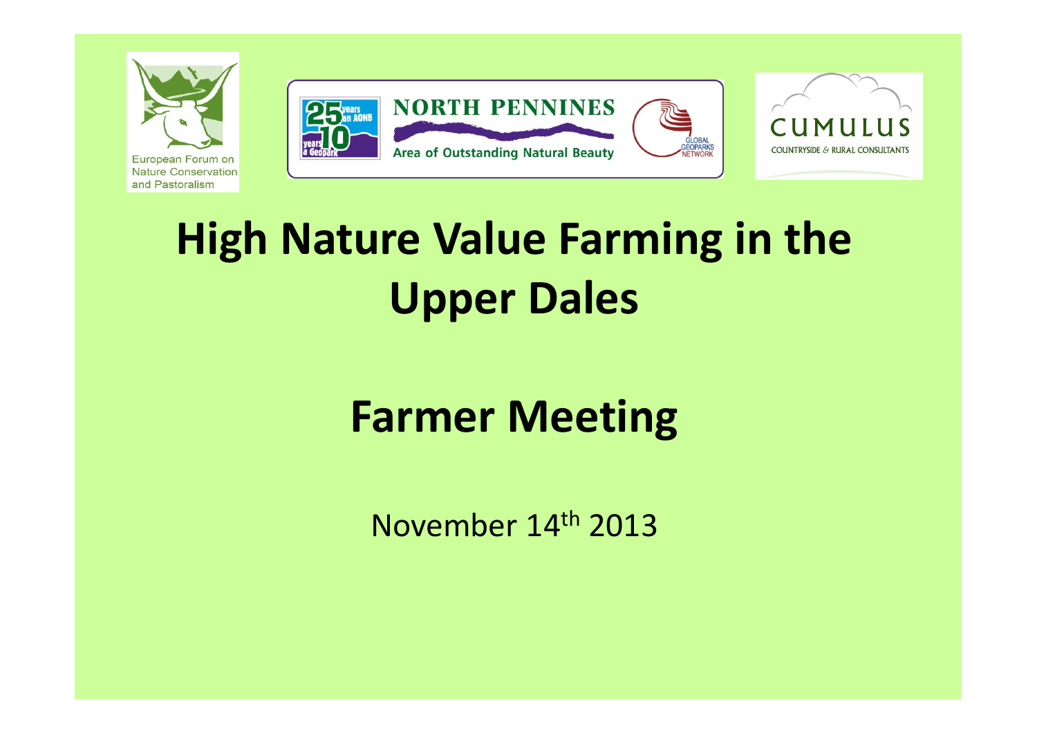

## **Farmer Meeting**

November 14<sup>th</sup> 2013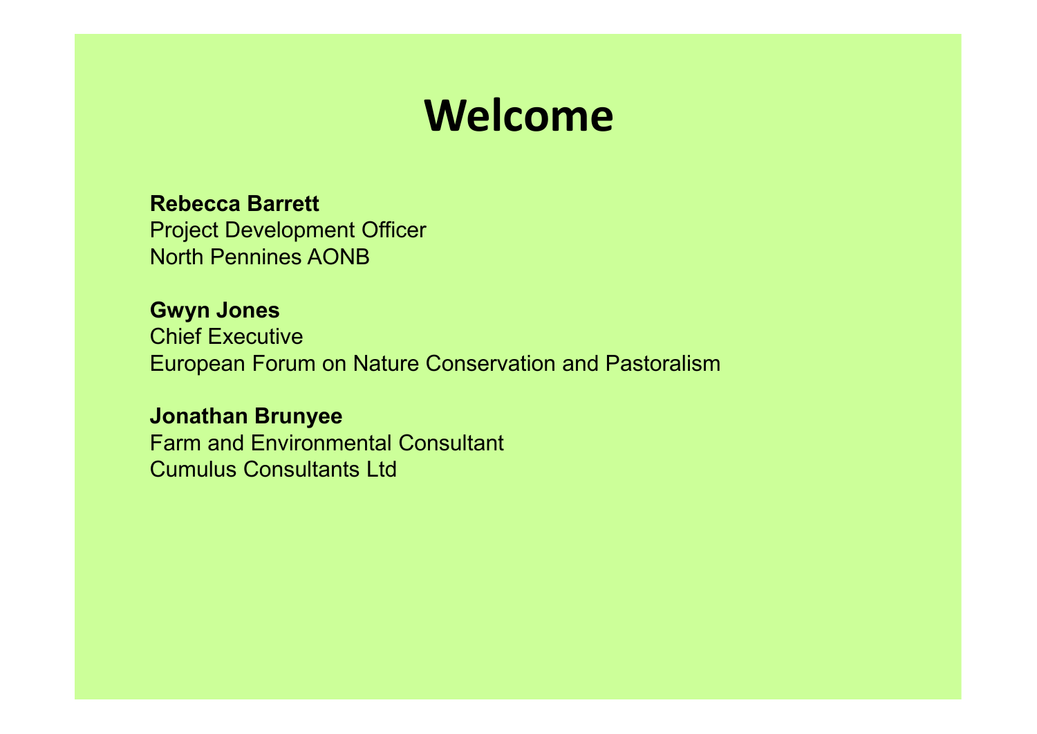### **Welcome**

#### **Rebecca Barrett**

 Project Development OfficerNorth Pennines AONB

#### **Gwyn Jones**

 Chief Executive European Forum on Nature Conservation and Pastoralism

#### **Jonathan Brunyee**

 Farm and Environmental ConsultantCumulus Consultants Ltd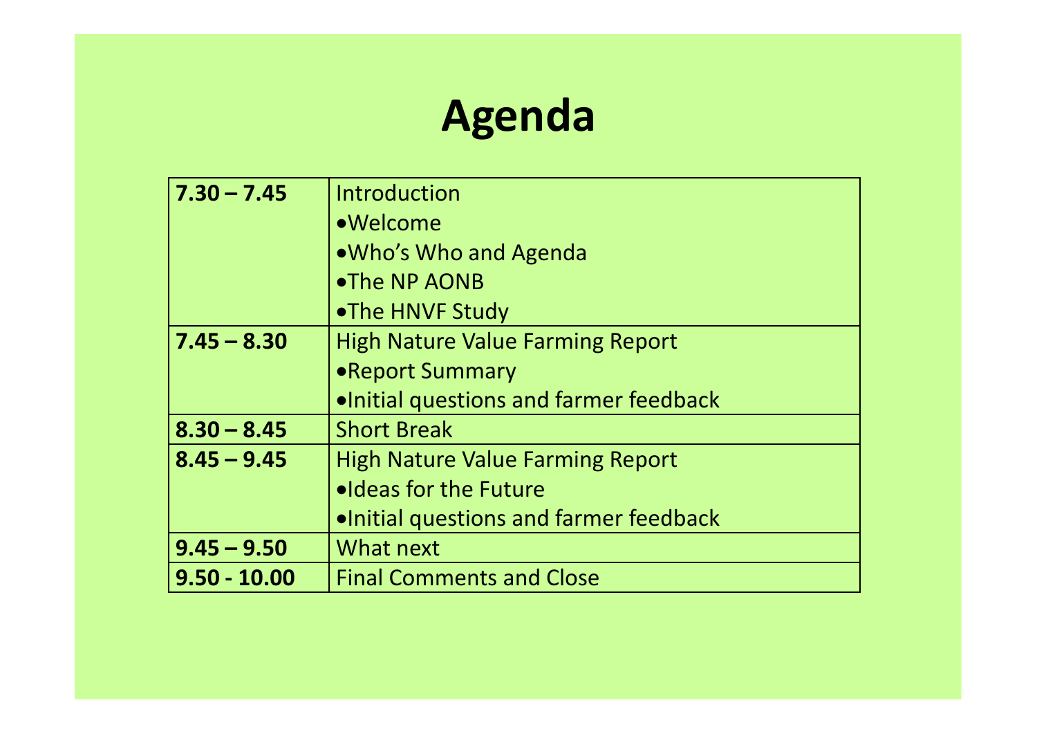### **Agenda**

| $7.30 - 7.45$  | Introduction                            |
|----------------|-----------------------------------------|
|                | •Welcome                                |
|                | .Who's Who and Agenda                   |
|                | •The NP AONB                            |
|                | •The HNVF Study                         |
| $7.45 - 8.30$  | <b>High Nature Value Farming Report</b> |
|                | • Report Summary                        |
|                | . Initial questions and farmer feedback |
| $8.30 - 8.45$  | <b>Short Break</b>                      |
| $8.45 - 9.45$  | <b>High Nature Value Farming Report</b> |
|                | . I deas for the Future                 |
|                | . Initial questions and farmer feedback |
| $9.45 - 9.50$  | What next                               |
| $9.50 - 10.00$ | <b>Final Comments and Close</b>         |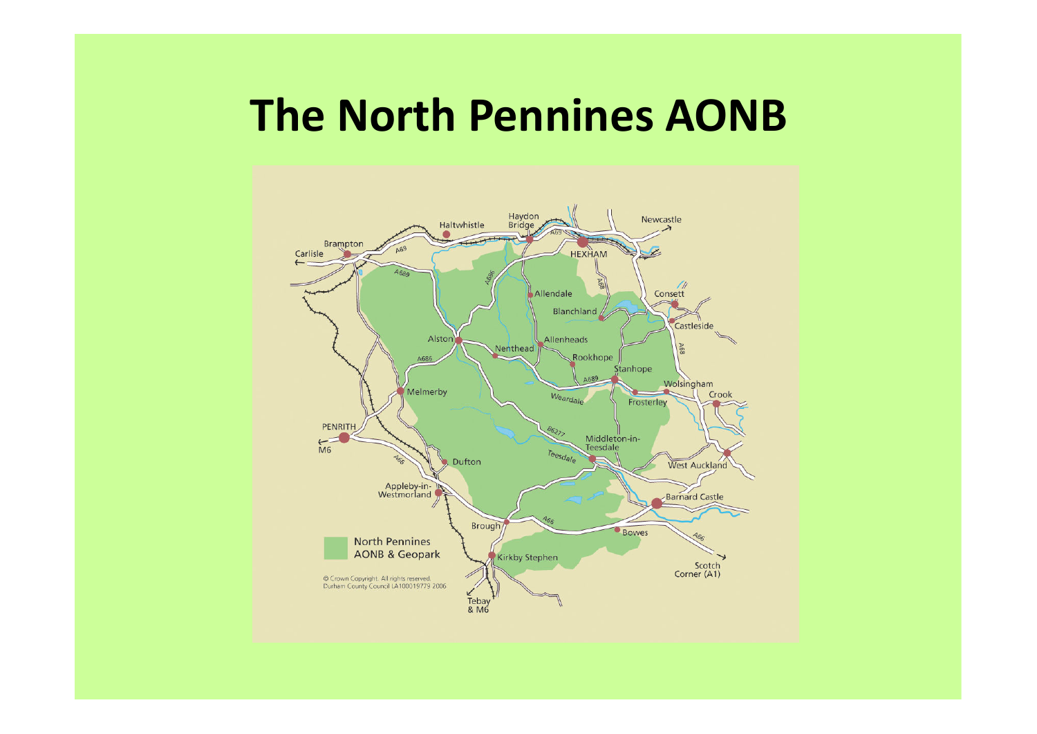### **The North Pennines AONB**

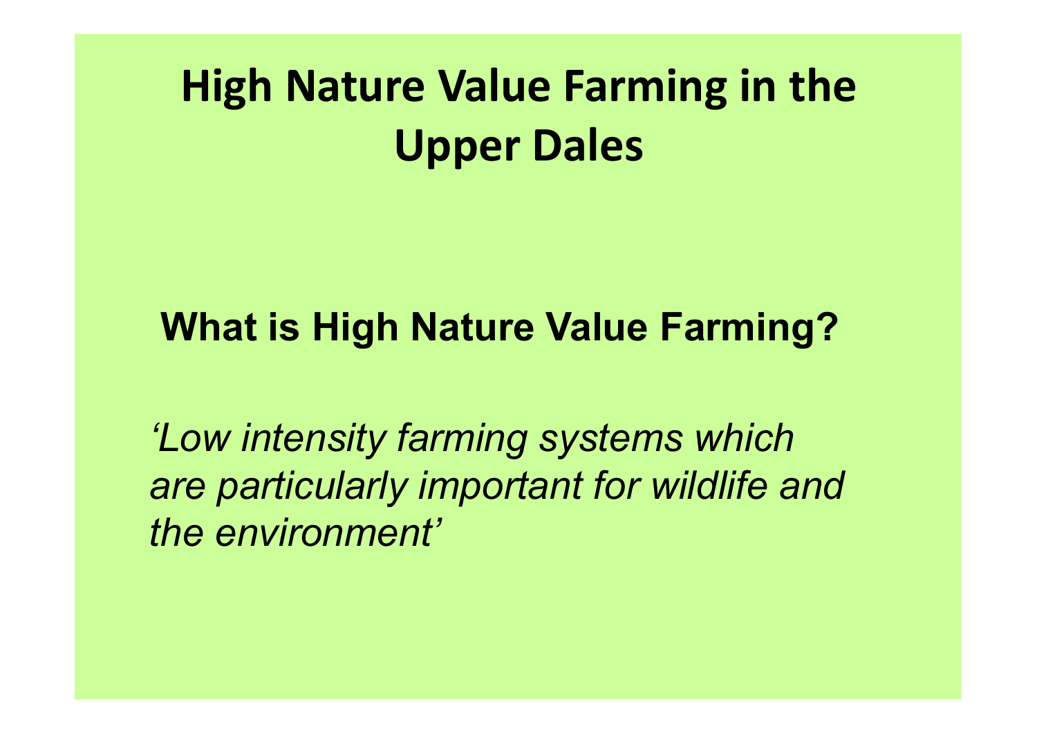### **What is High Nature Value Farming?**

*'Low intensity farming systems which are particularly important for wildlife and the environment'*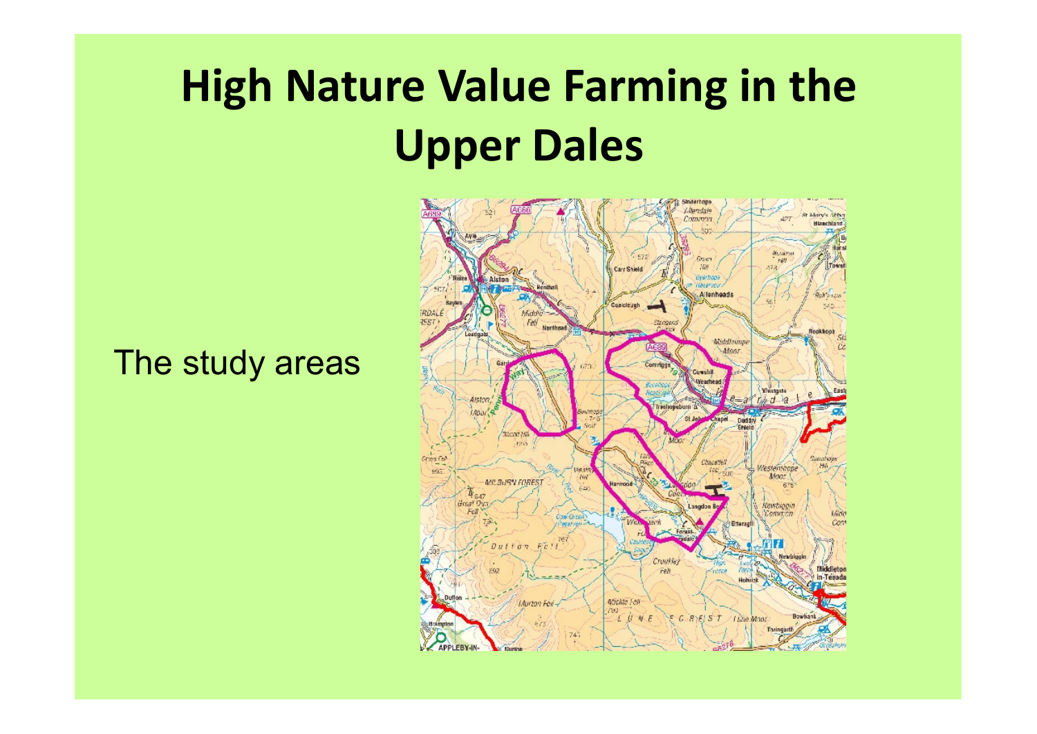#### The study areas

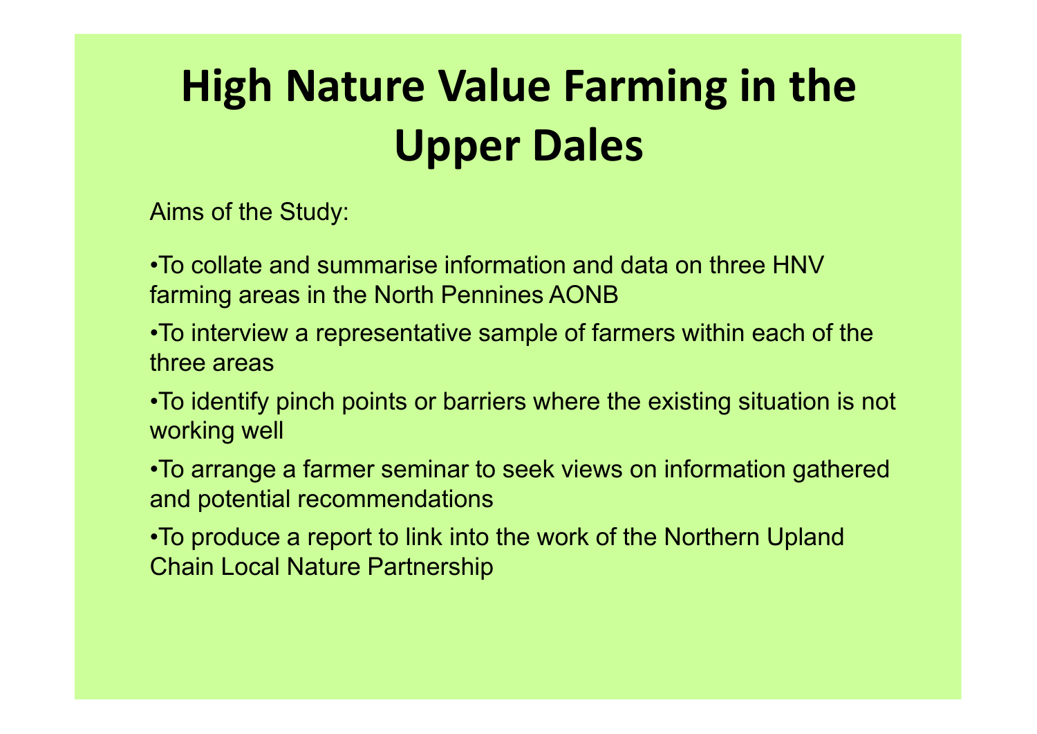Aims of the Study:

•To collate and summarise information and data on three HNV farming areas in the North Pennines AONB

- •To interview a representative sample of farmers within each of the three areas
- •To identify pinch points or barriers where the existing situation is not working well
- •To arrange a farmer seminar to seek views on information gathered and potential recommendations
- •To produce a report to link into the work of the Northern Upland Chain Local Nature Partnership